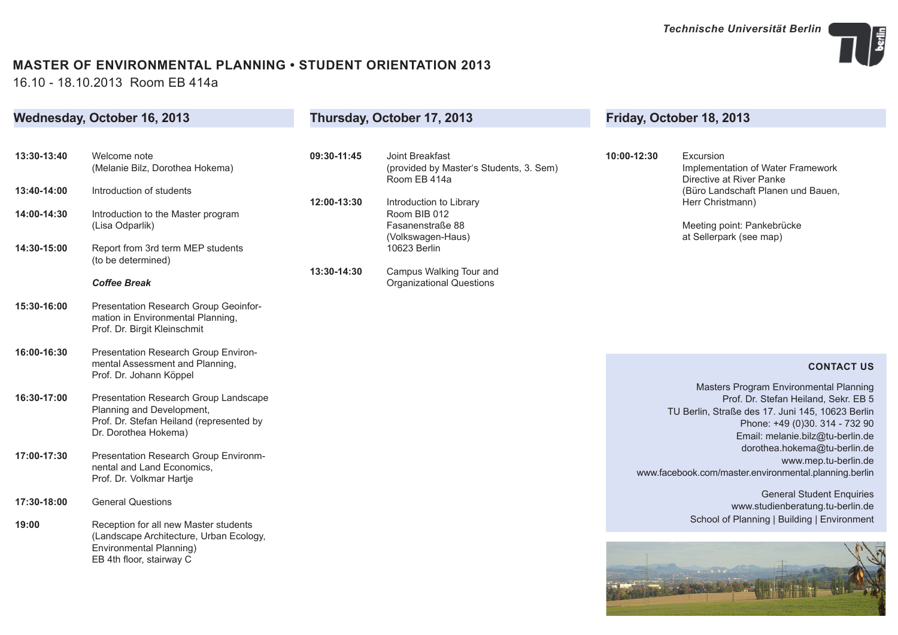

## **MASTER OF ENVIRONMENTAL PLANNING • STUDENT ORIENTATION 2013**

16.10 - 18.10.2013 Room EB 414a

| Wednesday, October 16, 2013 |                                                                                                                                        | Thursday, October 17, 2013 |                                                                            | Friday, October 18, 2013 |                                                                                                                                                                                                          |
|-----------------------------|----------------------------------------------------------------------------------------------------------------------------------------|----------------------------|----------------------------------------------------------------------------|--------------------------|----------------------------------------------------------------------------------------------------------------------------------------------------------------------------------------------------------|
|                             |                                                                                                                                        |                            |                                                                            |                          |                                                                                                                                                                                                          |
| 13:30-13:40                 | Welcome note<br>(Melanie Bilz, Dorothea Hokema)                                                                                        | 09:30-11:45                | Joint Breakfast<br>(provided by Master's Students, 3. Sem)<br>Room EB 414a | 10:00-12:30              | Excursion<br>Implementation of Water Framework<br>Directive at River Panke                                                                                                                               |
| 13:40-14:00                 | Introduction of students                                                                                                               | 12:00-13:30                | Introduction to Library                                                    |                          | (Büro Landschaft Planen und Bauen,<br>Herr Christmann)                                                                                                                                                   |
| 14:00-14:30                 | Introduction to the Master program<br>(Lisa Odparlik)                                                                                  |                            | Room BIB 012<br>Fasanenstraße 88<br>(Volkswagen-Haus)                      |                          | Meeting point: Pankebrücke<br>at Sellerpark (see map)                                                                                                                                                    |
| 14:30-15:00                 | Report from 3rd term MEP students<br>(to be determined)                                                                                |                            | 10623 Berlin                                                               |                          |                                                                                                                                                                                                          |
|                             | <b>Coffee Break</b>                                                                                                                    | 13:30-14:30                | Campus Walking Tour and<br><b>Organizational Questions</b>                 |                          |                                                                                                                                                                                                          |
| 15:30-16:00                 | Presentation Research Group Geoinfor-<br>mation in Environmental Planning,<br>Prof. Dr. Birgit Kleinschmit                             |                            |                                                                            |                          |                                                                                                                                                                                                          |
| 16:00-16:30                 | Presentation Research Group Environ-<br>mental Assessment and Planning,                                                                |                            |                                                                            |                          | <b>CONTACT US</b>                                                                                                                                                                                        |
|                             | Prof. Dr. Johann Köppel                                                                                                                |                            |                                                                            |                          |                                                                                                                                                                                                          |
| 16:30-17:00                 | Presentation Research Group Landscape<br>Planning and Development,<br>Prof. Dr. Stefan Heiland (represented by<br>Dr. Dorothea Hokema) |                            |                                                                            |                          | Masters Program Environmental Planning<br>Prof. Dr. Stefan Heiland, Sekr. EB 5<br>TU Berlin, Straße des 17. Juni 145, 10623 Berlin<br>Phone: +49 (0)30. 314 - 732 90<br>Email: melanie.bilz@tu-berlin.de |
| 17:00-17:30                 | Presentation Research Group Environm-<br>nental and Land Economics,<br>Prof. Dr. Volkmar Hartje                                        |                            |                                                                            |                          | dorothea.hokema@tu-berlin.de<br>www.mep.tu-berlin.de<br>www.facebook.com/master.environmental.planning.berlin                                                                                            |
| 17:30-18:00                 | <b>General Questions</b>                                                                                                               |                            |                                                                            |                          | <b>General Student Enquiries</b><br>www.studienberatung.tu-berlin.de                                                                                                                                     |
| 19:00                       | Reception for all new Master students<br>(Landscape Architecture, Urban Ecology,                                                       |                            |                                                                            |                          | School of Planning   Building   Environment                                                                                                                                                              |
|                             | Environmental Planning)<br>EB 4th floor, stairway C                                                                                    |                            |                                                                            |                          |                                                                                                                                                                                                          |